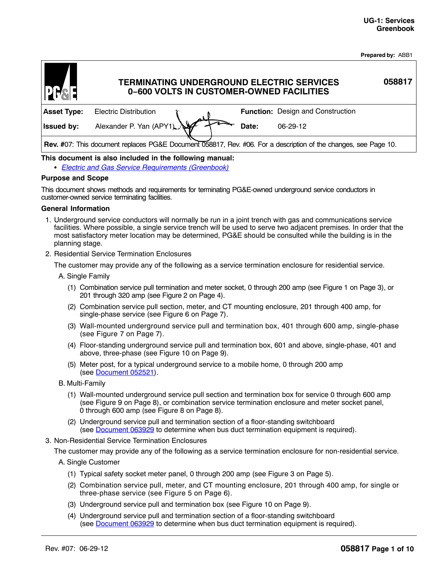**Prepared by:** ABB1

| DES                |                              | <b>TERMINATING UNDERGROUND ELECTRIC SERVICES</b><br>0-600 VOLTS IN CUSTOMER-OWNED FACILITIES                    | 058817 |
|--------------------|------------------------------|-----------------------------------------------------------------------------------------------------------------|--------|
| <b>Asset Type:</b> | <b>Electric Distribution</b> | <b>Function:</b> Design and Construction                                                                        |        |
| <b>Issued by:</b>  | Alexander P. Yan (APY1)      | $06-29-12$<br>Date:                                                                                             |        |
|                    |                              | Rev. #07: This document replaces PG&E Document 058817, Rev. #06. For a description of the changes, see Page 10. |        |

# **This document is also included in the following manual:** -

*[Electric and Gas Service Requirements \(Greenbook\)](http://www/techlib/default.asp?body=manuals/greenbook/)*

#### **Purpose and Scope**

This document shows methods and requirements for terminating PG&E-owned underground service conductors in customer-owned service terminating facilities.

#### **General Information**

- 1. Underground service conductors will normally be run in a joint trench with gas and communications service facilities. Where possible, a single service trench will be used to serve two adjacent premises. In order that the most satisfactory meter location may be determined, PG&E should be consulted while the building is in the planning stage.
- 2. Residential Service Termination Enclosures

The customer may provide any of the following as a service termination enclosure for residential service.

- A. Single Family
	- (1) Combination service pull termination and meter socket, 0 through 200 amp (see [Figure 1](#page-2-0) on Page [3\)](#page-2-0), or 201 through 320 amp (see [Figure 2](#page-3-0) on Page [4\)](#page-3-0).
	- (2) Combination service pull section, meter, and CT mounting enclosure, 201 through 400 amp, for single-phase service (see [Figure 6](#page-6-0) on Page [7\)](#page-6-0).
	- (3) Wall-mounted underground service pull and termination box, 401 through 600 amp, single-phase (see [Figure 7](#page-6-0) on Page [7](#page-6-0)).
	- (4) Floor-standing underground service pull and termination box, 601 and above, single-phase, 401 and above, three-phase (see [Figure 10](#page-8-0) on Page [9\)](#page-8-0).
	- (5) Meter post, for a typical underground service to a mobile home, 0 through 200 amp (see [Document 052521\)](http://wwwedm3/cgi-bin/getdoctdm.asp?itemid=981900039).
- B. Multi-Family
	- (1) Wall-mounted underground service pull section and termination box for service 0 through 600 amp (see [Figure 9](#page-7-0) on Page [8](#page-7-0)), or combination service termination enclosure and meter socket panel, 0 through 600 amp (see [Figure 8](#page-7-0) on Page [8\)](#page-7-0).
	- (2) Underground service pull and termination section of a floor-standing switchboard (see [Document 063929](http://wwwedm3/cgi-bin/getdoctdm.asp?itemid=981900048) to determine when bus duct termination equipment is required).
- 3. Non-Residential Service Termination Enclosures

The customer may provide any of the following as a service termination enclosure for non-residential service.

- A. Single Customer
	- (1) Typical safety socket meter panel, 0 through 200 amp (see [Figure 3](#page-4-0) on Page [5](#page-4-0)).
	- (2) Combination service pull, meter, and CT mounting enclosure, 201 through 400 amp, for single or three-phase service (see [Figure 5](#page-5-0) on Page [6](#page-5-0)).
	- (3) Underground service pull and termination box (see [Figure 10](#page-8-0) on Page [9](#page-8-0)).
	- (4) Underground service pull and termination section of a floor-standing switchboard (see [Document 063929](http://wwwedm3/cgi-bin/getdoctdm.asp?itemid=981900048) to determine when bus duct termination equipment is required).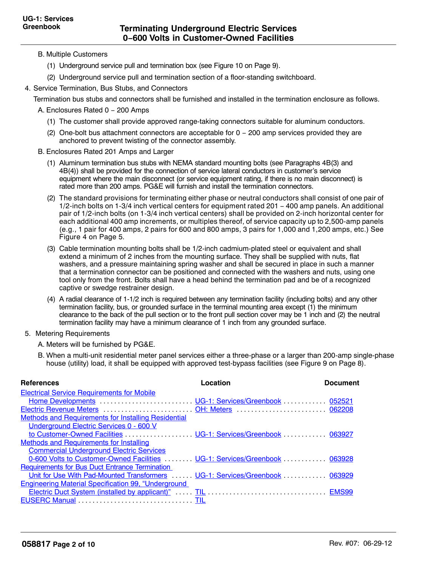- <span id="page-1-0"></span>B. Multiple Customers
	- (1) Underground service pull and termination box (see [Figure 10](#page-8-0) on Page [9](#page-8-0)).
	- (2) Underground service pull and termination section of a floor-standing switchboard.
- 4. Service Termination, Bus Stubs, and Connectors

Termination bus stubs and connectors shall be furnished and installed in the termination enclosure as follows.

- A. Enclosures Rated 0 − 200 Amps
	- (1) The customer shall provide approved range-taking connectors suitable for aluminum conductors.
	- (2) One-bolt bus attachment connectors are acceptable for 0 − 200 amp services provided they are anchored to prevent twisting of the connector assembly.
- B. Enclosures Rated 201 Amps and Larger
	- (1) Aluminum termination bus stubs with NEMA standard mounting bolts (see Paragraphs 4B(3) and 4B(4)) shall be provided for the connection of service lateral conductors in customer's service equipment where the main disconnect (or service equipment rating, if there is no main disconnect) is rated more than 200 amps. PG&E will furnish and install the termination connectors.
	- (2) The standard provisions for terminating either phase or neutral conductors shall consist of one pair of 1/2-inch bolts on 1-3/4 inch vertical centers for equipment rated 201 − 400 amp panels. An additional pair of 1/2-inch bolts (on 1-3/4 inch vertical centers) shall be provided on 2-inch horizontal center for each additional 400 amp increments, or multiples thereof, of service capacity up to 2,500-amp panels (e.g., 1 pair for 400 amps, 2 pairs for 600 and 800 amps, 3 pairs for 1,000 and 1,200 amps, etc.) See [Figure 4](#page-4-0) on Page [5](#page-4-0).
	- (3) Cable termination mounting bolts shall be 1/2-inch cadmium-plated steel or equivalent and shall extend a minimum of 2 inches from the mounting surface. They shall be supplied with nuts, flat washers, and a pressure maintaining spring washer and shall be secured in place in such a manner that a termination connector can be positioned and connected with the washers and nuts, using one tool only from the front. Bolts shall have a head behind the termination pad and be of a recognized captive or swedge restrainer design.
	- (4) A radial clearance of 1-1/2 inch is required between any termination facility (including bolts) and any other termination facility, bus, or grounded surface in the terminal mounting area except (1) the minimum clearance to the back of the pull section or to the front pull section cover may be 1 inch and (2) the neutral termination facility may have a minimum clearance of 1 inch from any grounded surface.
- 5. Metering Requirements

A. Meters will be furnished by PG&E.

B. When a multi-unit residential meter panel services either a three-phase or a larger than 200-amp single-phase house (utility) load, it shall be equipped with approved test-bypass facilities (see [Figure 9](#page-7-0) on Page [8\)](#page-7-0).

| <b>References</b>                                                            | Location | Document |
|------------------------------------------------------------------------------|----------|----------|
| <b>Electrical Service Requirements for Mobile</b>                            |          |          |
|                                                                              |          |          |
|                                                                              |          |          |
| <b>Methods and Requirements for Installing Residential</b>                   |          |          |
| Underground Electric Services 0 - 600 V                                      |          |          |
|                                                                              |          |          |
| Methods and Requirements for Installing                                      |          |          |
| <b>Commercial Underground Electric Services</b>                              |          |          |
| 0-600 Volts to Customer-Owned Facilities  UG-1: Services/Greenbook  063928   |          |          |
| <b>Requirements for Bus Duct Entrance Termination</b>                        |          |          |
| Unit for Use With Pad-Mounted Transformers  UG-1: Services/Greenbook  063929 |          |          |
| <b>Engineering Material Specification 99, "Underground</b>                   |          |          |
|                                                                              |          |          |
|                                                                              |          |          |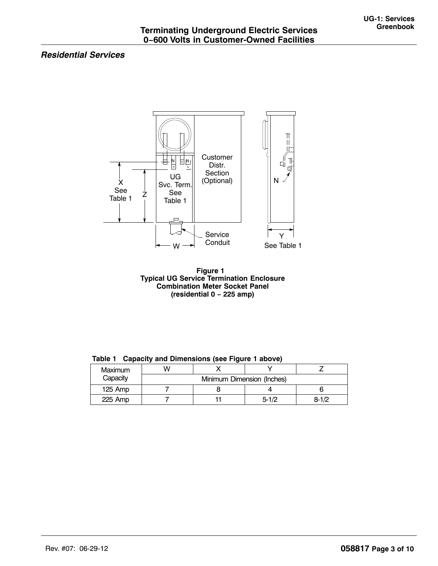# <span id="page-2-0"></span>*Residential Services*





| Maximum<br>Capacity |                            |  |           |           |  |
|---------------------|----------------------------|--|-----------|-----------|--|
|                     | Minimum Dimension (Inches) |  |           |           |  |
| $125$ Amp           |                            |  |           |           |  |
| 225 Amp             |                            |  | $5 - 1/2$ | $8 - 1/2$ |  |

**Table 1 Capacity and Dimensions (see Figure 1 above)**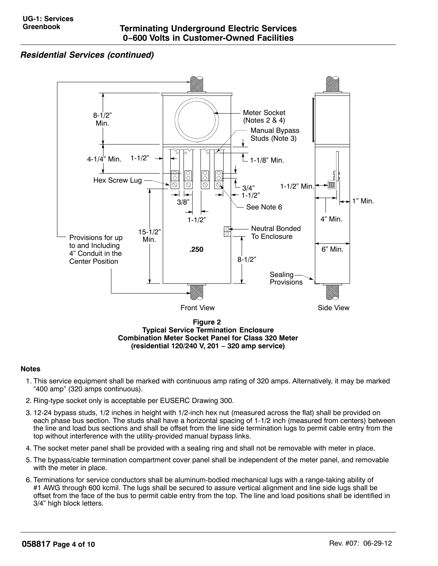# <span id="page-3-0"></span>*Residential Services (continued)*



**Typical Service Termination Enclosure Combination Meter Socket Panel for Class 320 Meter (residential 120/240 V, 201 − 320 amp service)**

## **Notes**

- 1. This service equipment shall be marked with continuous amp rating of 320 amps. Alternatively, it may be marked "400 amp" (320 amps continuous).
- 2. Ring-type socket only is acceptable per EUSERC Drawing 300.
- 3. 12-24 bypass studs, 1/2 inches in height with 1/2-inch hex nut (measured across the flat) shall be provided on each phase bus section. The studs shall have a horizontal spacing of 1-1/2 inch (measured from centers) between the line and load bus sections and shall be offset from the line side termination lugs to permit cable entry from the top without interference with the utility-provided manual bypass links.
- 4. The socket meter panel shall be provided with a sealing ring and shall not be removable with meter in place.
- 5. The bypass/cable termination compartment cover panel shall be independent of the meter panel, and removable with the meter in place.
- 6. Terminations for service conductors shall be aluminum-bodied mechanical lugs with a range-taking ability of #1 AWG through 600 kcmil. The lugs shall be secured to assure vertical alignment and line side lugs shall be offset from the face of the bus to permit cable entry from the top. The line and load positions shall be identified in 3/4" high block letters.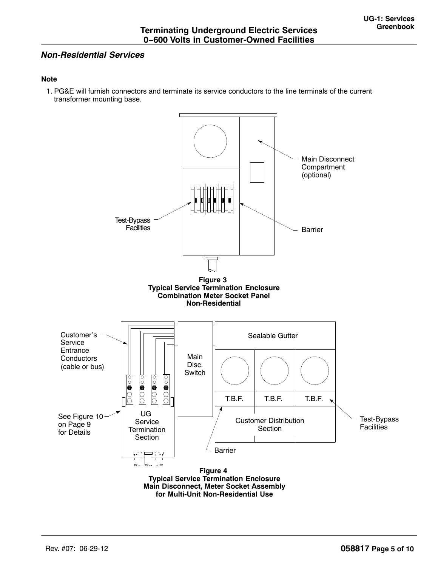# <span id="page-4-0"></span>*Non-Residential Services*

# **Note**

1. PG&E will furnish connectors and terminate its service conductors to the line terminals of the current transformer mounting base.

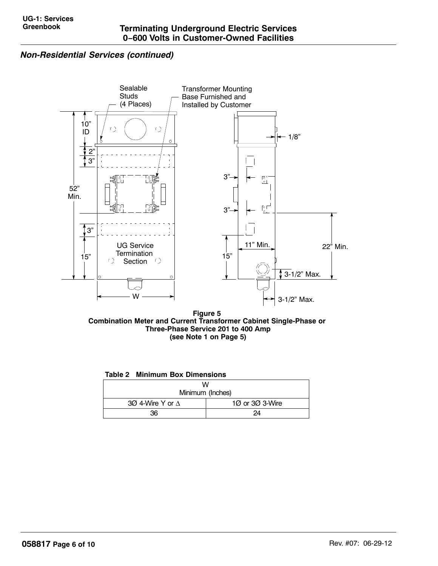# <span id="page-5-0"></span>*Non-Residential Services (continued)*



**Figure 5 Combination Meter and Current Transformer Cabinet Single-Phase or Three-Phase Service 201 to 400 Amp (see Note [1](#page-4-0) on Page [5](#page-4-0))**

|  |  |  | <b>Table 2 Minimum Box Dimensions</b> |
|--|--|--|---------------------------------------|
|--|--|--|---------------------------------------|

| w                       |                 |  |  |
|-------------------------|-----------------|--|--|
| Minimum (Inches)        |                 |  |  |
| 30 4-Wire Y or $\Delta$ | 10 or 30 3-Wire |  |  |
| 36                      | 24              |  |  |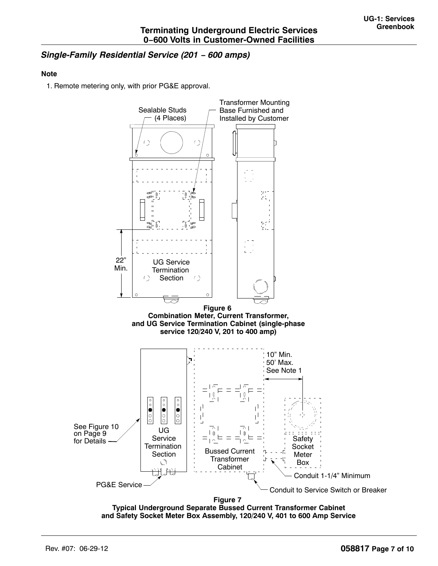# <span id="page-6-0"></span>*Single-Family Residential Service (201 − 600 amps)*

## **Note**

1. Remote metering only, with prior PG&E approval.



**and Safety Socket Meter Box Assembly, 120/240 V, 401 to 600 Amp Service**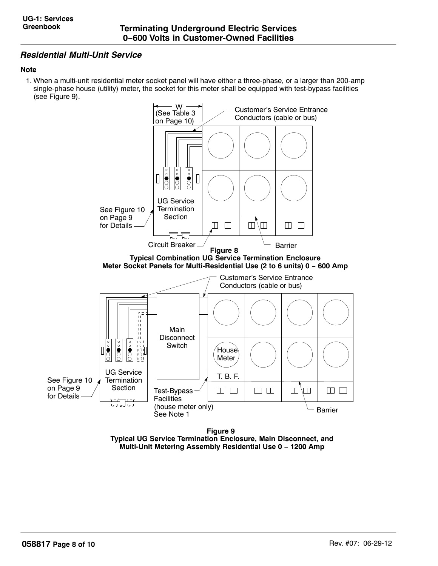# <span id="page-7-0"></span>*Residential Multi-Unit Service*

# **Note**

1. When a multi-unit residential meter socket panel will have either a three-phase, or a larger than 200-amp single-phase house (utility) meter, the socket for this meter shall be equipped with test-bypass facilities (see Figure 9).



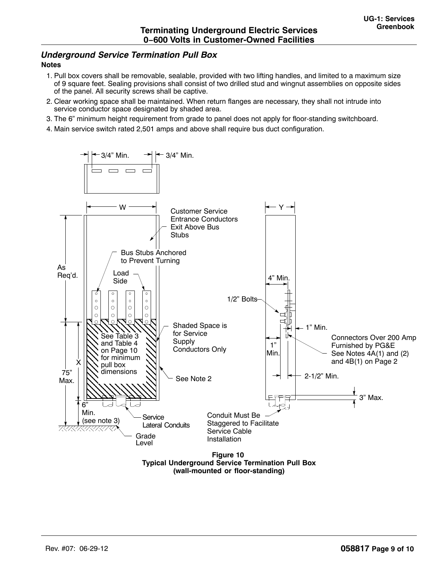# <span id="page-8-0"></span>*Underground Service Termination Pull Box*

## **Notes**

- 1. Pull box covers shall be removable, sealable, provided with two lifting handles, and limited to a maximum size of 9 square feet. Sealing provisions shall consist of two drilled stud and wingnut assemblies on opposite sides of the panel. All security screws shall be captive.
- 2. Clear working space shall be maintained. When return flanges are necessary, they shall not intrude into service conductor space designated by shaded area.
- 3. The 6" minimum height requirement from grade to panel does not apply for floor-standing switchboard.
- 4. Main service switch rated 2,501 amps and above shall require bus duct configuration.



**Typical Underground Service Termination Pull Box (wall-mounted or floor-standing)**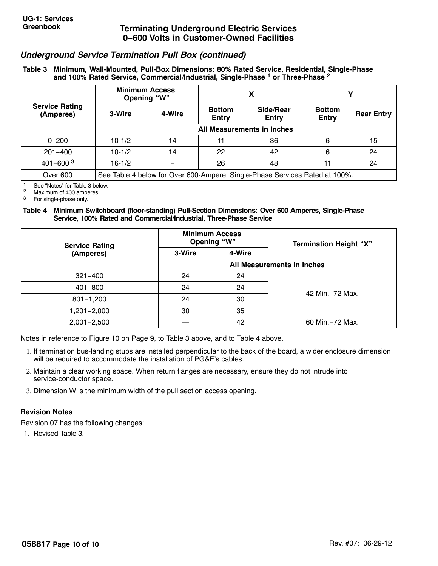# <span id="page-9-0"></span>*Underground Service Termination Pull Box (continued)*

## **Table 3 Minimum, Wall-Mounted, Pull-Box Dimensions: 80% Rated Service, Residential, Single-Phase and 100% Rated Service, Commercial/Industrial, Single-Phase 1 or Three-Phase 2**

|                                    | <b>Minimum Access</b><br>Opening "W"                                        |        |                        |                    |                               |                   |  |
|------------------------------------|-----------------------------------------------------------------------------|--------|------------------------|--------------------|-------------------------------|-------------------|--|
| <b>Service Rating</b><br>(Amperes) | 3-Wire                                                                      | 4-Wire | <b>Bottom</b><br>Entry | Side/Rear<br>Entry | <b>Bottom</b><br><b>Entry</b> | <b>Rear Entry</b> |  |
|                                    | All Measurements in Inches                                                  |        |                        |                    |                               |                   |  |
| $0 - 200$                          | $10-1/2$                                                                    | 14     | 11                     | 36                 | 6                             | 15                |  |
| $201 - 400$                        | $10-1/2$                                                                    | 14     | 22                     | 42                 | 6                             | 24                |  |
| $401 - 600^{3}$                    | $16 - 1/2$                                                                  |        | 26                     | 48                 | 11                            | 24                |  |
| Over 600                           | See Table 4 below for Over 600-Ampere, Single-Phase Services Rated at 100%. |        |                        |                    |                               |                   |  |

<sup>1</sup> See "Notes" for Table 3 below.<br><sup>2</sup> Movimum of 400 emperes

<sup>2</sup> Maximum of 400 amperes.<br><sup>3</sup> For single-phase only

For single-phase only.

#### **Table 4 Minimum Switchboard (floor-standing) Pull-Section Dimensions: Over 600 Amperes, Single-Phase Service, 100% Rated and Commercial/Industrial, Three-Phase Service**

| <b>Service Rating</b> | <b>Minimum Access</b><br>Opening "W" |        | <b>Termination Height "X"</b> |  |
|-----------------------|--------------------------------------|--------|-------------------------------|--|
| (Amperes)             | 3-Wire                               | 4-Wire |                               |  |
|                       | All Measurements in Inches           |        |                               |  |
| $321 - 400$           | 24                                   | 24     |                               |  |
| $401 - 800$           | 24                                   | 24     |                               |  |
| $801 - 1,200$         | 24                                   | 30     | 42 Min. - 72 Max.             |  |
| 1,201-2,000           | 30                                   | 35     |                               |  |
| $2,001 - 2,500$       |                                      | 42     | 60 Min. - 72 Max.             |  |

Notes in reference to [Figure 10](#page-8-0) on Page [9,](#page-8-0) to Table 3 above, and to Table 4 above.

- 1. If termination bus-landing stubs are installed perpendicular to the back of the board, a wider enclosure dimension will be required to accommodate the installation of PG&E's cables.
- 2. Maintain a clear working space. When return flanges are necessary, ensure they do not intrude into service-conductor space.
- 3. Dimension W is the minimum width of the pull section access opening.

# **Revision Notes**

Revision 07 has the following changes:

1. Revised Table 3.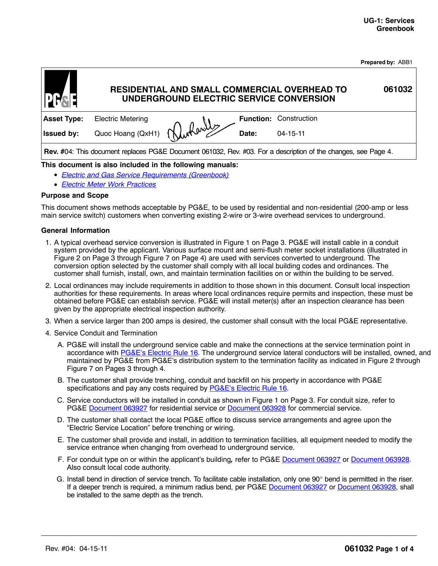|  | Prepared by: ABB1 |
|--|-------------------|
|  |                   |

<span id="page-10-0"></span>

| <b>PH<sub>SE</sub></b>                                                                                         |                          | UNDERGROUND ELECTRIC SERVICE CONVERSION |       | RESIDENTIAL AND SMALL COMMERCIAL OVERHEAD TO | 061032 |
|----------------------------------------------------------------------------------------------------------------|--------------------------|-----------------------------------------|-------|----------------------------------------------|--------|
| <b>Asset Type:</b>                                                                                             | <b>Electric Metering</b> |                                         |       | <b>Function: Construction</b>                |        |
| <b>Issued by:</b>                                                                                              | Quoc Hoang (QxH1)        | Durharly                                | Date: | $04 - 15 - 11$                               |        |
| Rev. #04: This document replaces PG&E Document 061032, Rev. #03. For a description of the changes, see Page 4. |                          |                                         |       |                                              |        |

# **This document is also included in the following manuals:**

- [Electric and Gas Service Requirements \(Greenbook\)](http://www/techlib/default.asp?body=manuals/greenbook/default.asp)
- [Electric Meter Work Practices](http://www/techlib/default.asp?body=manuals/elec_meter_work_practices/)

#### **Purpose and Scope**

This document shows methods acceptable by PG&E, to be used by residential and non-residential (200-amp or less main service switch) customers when converting existing 2-wire or 3-wire overhead services to underground.

#### **General Information**

- 1. A typical overhead service conversion is illustrated in [Figure 1](#page-12-0) on Page [3.](#page-12-0) PG&E will install cable in a conduit system provided by the applicant. Various surface mount and semi-flush meter socket installations (illustrated in [Figure 2](#page-12-0) on Page [3](#page-12-0) through [Figure 7](#page-13-0) on Page [4\)](#page-13-0) are used with services converted to underground. The conversion option selected by the customer shall comply with all local building codes and ordinances. The customer shall furnish, install, own, and maintain termination facilities on or within the building to be served.
- 2. Local ordinances may include requirements in addition to those shown in this document. Consult local inspection authorities for these requirements. In areas where local ordinances require permits and inspection, these must be obtained before PG&E can establish service. PG&E will install meter(s) after an inspection clearance has been given by the appropriate electrical inspection authority.
- 3. When a service larger than 200 amps is desired, the customer shall consult with the local PG&E representative.
- 4. Service Conduit and Termination
	- A. PG&E will install the underground service cable and make the connections at the service termination point in accordance with [PG&E's Electric Rule 16.](http://www.pge.com/tariffs/tm2/pdf/ELEC_RULES_16.pdf) The underground service lateral conductors will be installed, owned, and maintained by PG&E from PG&E's distribution system to the termination facility as indicated in [Figure 2](#page-12-0) through [Figure 7](#page-13-0) on Pages [3](#page-12-0) through [4.](#page-13-0)
	- B. The customer shall provide trenching, conduit and backfill on his property in accordance with PG&E specifications and pay any costs required by [PG&E's Electric Rule 16](http://www.pge.com/tariffs/tm2/pdf/ELEC_RULES_16.pdf).
	- C. Service conductors will be installed in conduit as shown in [Figure 1](#page-12-0) on Page [3.](#page-12-0) For conduit size, refer to PG&E [Document 063927](http://wwwedm3/cgi-bin/getdocTDM.asp?itemid=981900047) for residential service or [Document 063928](http://wwwedm3/cgi-bin/getdocTDM.asp?itemid=981900041) for commercial service.
	- D. The customer shall contact the local PG&E office to discuss service arrangements and agree upon the "Electric Service Location" before trenching or wiring.
	- E. The customer shall provide and install, in addition to termination facilities, all equipment needed to modify the service entrance when changing from overhead to underground service.
	- F. For conduit type on or within the applicant's building**,** refer to PG&E [Document 063927](http://wwwedm3/cgi-bin/getdocTDM.asp?itemid=981900047) or [Document 063928](http://wwwedm3/cgi-bin/getdocTDM.asp?itemid=981900041). Also consult local code authority.
	- G. Install bend in direction of service trench. To facilitate cable installation, only one 90° bend is permitted in the riser. If a deeper trench is required, a minimum radius bend, per PG&E [Document 063927](http://wwwedm3/cgi-bin/getdocTDM.asp?itemid=981900047) or [Document 063928,](http://wwwedm3/cgi-bin/getdocTDM.asp?itemid=981900041) shall be installed to the same depth as the trench.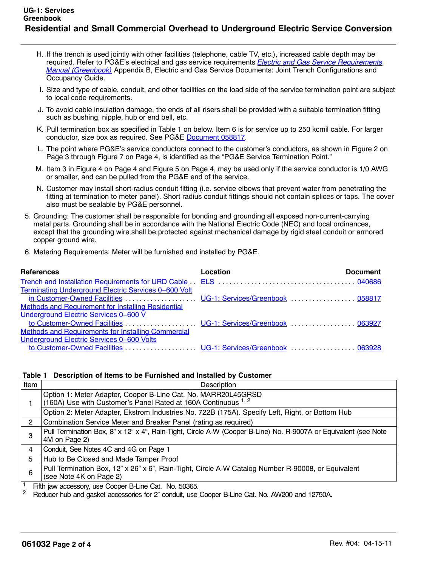- <span id="page-11-0"></span>H. If the trench is used jointly with other facilities (telephone, cable TV, etc.), increased cable depth may be required. Refer to PG&E's electrical and gas service requirements *[Electric and Gas Service Requirements](http://www/techlib/default.asp?body=manuals/greenbook/)* [Manual \(Greenbook\)](http://www/techlib/default.asp?body=manuals/greenbook/) Appendix B, Electric and Gas Service Documents: Joint Trench Configurations and Occupancy Guide.
- I. Size and type of cable, conduit, and other facilities on the load side of the service termination point are subject to local code requirements.
- J. To avoid cable insulation damage, the ends of all risers shall be provided with a suitable termination fitting such as bushing, nipple, hub or end bell, etc.
- K. Pull termination box as specified in Table 1 on below. Item 6 is for service up to 250 kcmil cable. For larger conductor, size box as required. See PG&E [Document 058817](http://wwwedm3/cgi-bin/getdocTDM.asp?itemid=981900045).
- L. The point where PG&E's service conductors connect to the customer's conductors, as shown in [Figure 2](#page-12-0) on Page [3](#page-12-0) through [Figure 7](#page-13-0) on Page [4](#page-13-0), is identified as the "PG&E Service Termination Point."
- M. Item 3 in [Figure 4](#page-13-0) on Page [4](#page-13-0) and [Figure 5](#page-13-0) on Page [4](#page-13-0), may be used only if the service conductor is 1/0 AWG or smaller, and can be pulled from the PG&E end of the service.
- N. Customer may install short-radius conduit fitting (i.e. service elbows that prevent water from penetrating the fitting at termination to meter panel). Short radius conduit fittings should not contain splices or taps. The cover also must be sealable by PG&E personnel.
- 5. Grounding: The customer shall be responsible for bonding and grounding all exposed non-current-carrying metal parts. Grounding shall be in accordance with the National Electric Code (NEC) and local ordinances, except that the grounding wire shall be protected against mechanical damage by rigid steel conduit or armored copper ground wire.
- 6. Metering Requirements: Meter will be furnished and installed by PG&E.

| <b>References</b>                                    | Location | <b>Document</b> |
|------------------------------------------------------|----------|-----------------|
|                                                      |          |                 |
| Terminating Underground Electric Services 0-600 Volt |          |                 |
|                                                      |          |                 |
| Methods and Requirement for Installing Residential   |          |                 |
| Underground Electric Services 0-600 V                |          |                 |
|                                                      |          |                 |
| Methods and Requirements for Installing Commercial   |          |                 |
| Underground Electric Services 0-600 Volts            |          |                 |
|                                                      |          |                 |

## **Table 1 Description of Items to be Furnished and Installed by Customer**

| Description                                                                                                                      |
|----------------------------------------------------------------------------------------------------------------------------------|
| Option 1: Meter Adapter, Cooper B-Line Cat. No. MARR20L45GRSD<br>(160A) Use with Customer's Panel Rated at 160A Continuous 1, 2  |
| Option 2: Meter Adapter, Ekstrom Industries No. 722B (175A). Specify Left, Right, or Bottom Hub                                  |
| Combination Service Meter and Breaker Panel (rating as required)                                                                 |
| Pull Termination Box, 8" x 12" x 4", Rain-Tight, Circle A-W (Cooper B-Line) No. R-9007A or Equivalent (see Note<br>4M on Page 2) |
| Conduit, See Notes 4C and 4G on Page 1                                                                                           |
| Hub to Be Closed and Made Tamper Proof                                                                                           |
| Pull Termination Box, 12" x 26" x 6", Rain-Tight, Circle A-W Catalog Number R-90008, or Equivalent<br>(see Note 4K on Page 2)    |
| ____                                                                                                                             |

<sup>1</sup> Fifth jaw accessory, use Cooper B-Line Cat. No. 50365.<br><sup>2</sup> Beducer bub and gasket accessories for 2" conduit use.

<sup>2</sup> Reducer hub and gasket accessories for 2" conduit, use Cooper B-Line Cat. No. AW200 and 12750A.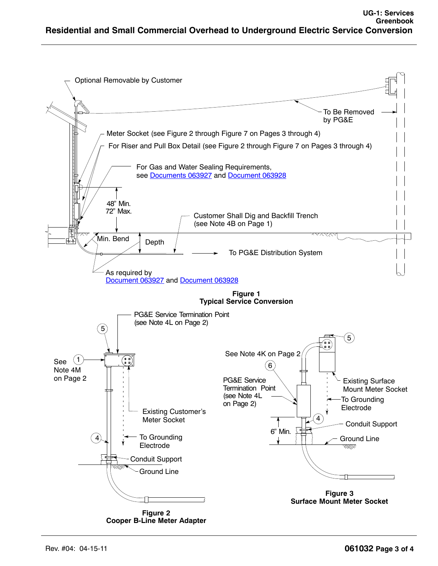<span id="page-12-0"></span>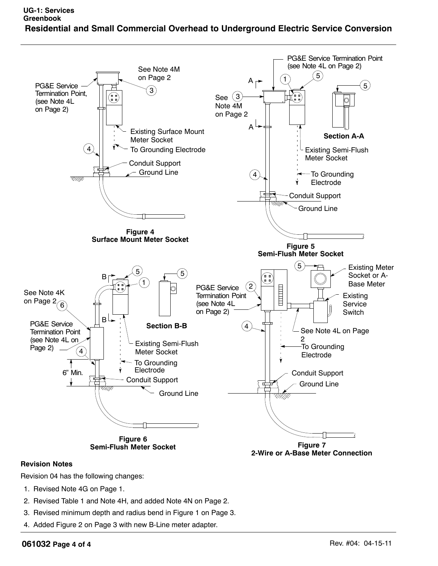<span id="page-13-0"></span>

# **Revision Notes**

Revision 04 has the following changes:

- 1. Revised Note 4G on Page 1.
- 2. Revised Table 1 and Note 4H, and added Note 4N on Page 2.
- 3. Revised minimum depth and radius bend in Figure 1 on Page 3.
- 4. Added Figure 2 on Page 3 with new B-Line meter adapter.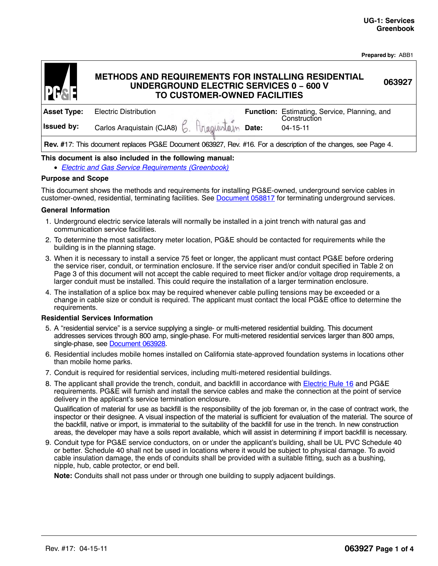| <b>Prepared by: ABB1</b> |  |  |
|--------------------------|--|--|
|--------------------------|--|--|

**063927**

# **METHODS AND REQUIREMENTS FOR INSTALLING RESIDENTIAL UNDERGROUND ELECTRIC SERVICES 0 − 600 V TO CUSTOMER-OWNED FACILITIES**

<span id="page-14-0"></span>

| <b>Asset Type:</b>                                                                                             | <b>Electric Distribution</b>                   |  |  | Function: Estimating, Service, Planning, and<br>Construction |  |  |  |
|----------------------------------------------------------------------------------------------------------------|------------------------------------------------|--|--|--------------------------------------------------------------|--|--|--|
| <b>Issued by:</b>                                                                                              | Carlos Araquistain (CJA8) 6. Anaguistain Date: |  |  | $04 - 15 - 11$                                               |  |  |  |
| Rev. #17: This document replaces PG&E Document 063927, Rev. #16. For a description of the changes, see Page 4. |                                                |  |  |                                                              |  |  |  |

## **This document is also included in the following manual:**

• [Electric and Gas Service Requirements \(Greenbook\)](http://www/techlib/default.asp?body=manuals/greenbook/)

#### **Purpose and Scope**

This document shows the methods and requirements for installing PG&E-owned, underground service cables in customer-owned, residential, terminating facilities. See [Document 058817](http://wwwedm3/cgi-bin/getdoctdm.asp?itemid=981900045) for terminating underground services.

#### **General Information**

- 1. Underground electric service laterals will normally be installed in a joint trench with natural gas and communication service facilities.
- 2. To determine the most satisfactory meter location, PG&E should be contacted for requirements while the building is in the planning stage.
- 3. When it is necessary to install a service 75 feet or longer, the applicant must contact PG&E before ordering the service riser, conduit, or termination enclosure. If the service riser and/or conduit specified in [Table 2](#page-16-0) on Page [3](#page-16-0) of this document will not accept the cable required to meet flicker and/or voltage drop requirements, a larger conduit must be installed. This could require the installation of a larger termination enclosure.
- 4. The installation of a splice box may be required whenever cable pulling tensions may be exceeded or a change in cable size or conduit is required. The applicant must contact the local PG&E office to determine the requirements.

#### **Residential Services Information**

- 5. A ''residential service'' is a service supplying a single- or multi-metered residential building. This document addresses services through 800 amp, single-phase. For multi-metered residential services larger than 800 amps, single-phase, see **[Document 063928](http://wwwedm3/cgi-bin/getdoctdm.asp?itemid=981900041)**.
- 6. Residential includes mobile homes installed on California state-approved foundation systems in locations other than mobile home parks.
- 7. Conduit is required for residential services, including multi-metered residential buildings.
- 8. The applicant shall provide the trench, conduit, and backfill in accordance with **[Electric Rule 16](http://www.pge.com/tariffs/tm2/pdf/ELEC_RULES_16.pdf)** and PG&E requirements. PG&E will furnish and install the service cables and make the connection at the point of service delivery in the applicant's service termination enclosure.

Qualification of material for use as backfill is the responsibility of the job foreman or, in the case of contract work, the inspector or their designee. A visual inspection of the material is sufficient for evaluation of the material. The source of the backfill, native or import, is immaterial to the suitability of the backfill for use in the trench. In new construction areas, the developer may have a soils report available, which will assist in determining if import backfill is necessary.

9. Conduit type for PG&E service conductors, on or under the applicant's building, shall be UL PVC Schedule 40 or better. Schedule 40 shall not be used in locations where it would be subject to physical damage. To avoid cable insulation damage, the ends of conduits shall be provided with a suitable fitting, such as a bushing, nipple, hub, cable protector, or end bell.

**Note:** Conduits shall not pass under or through one building to supply adjacent buildings.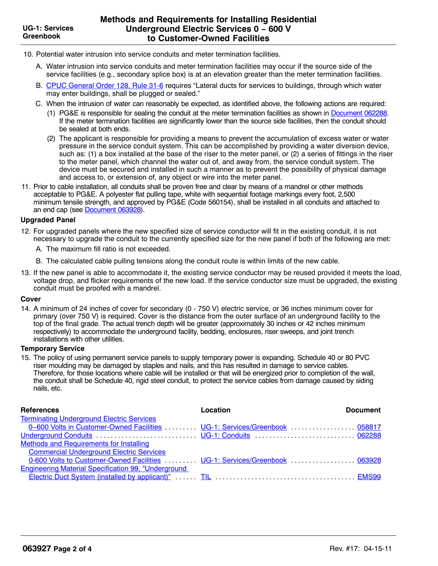- 10. Potential water intrusion into service conduits and meter termination facilities.
	- A. Water intrusion into service conduits and meter termination facilities may occur if the source side of the service facilities (e.g., secondary splice box) is at an elevation greater than the meter termination facilities.
	- B. [CPUC General Order 128, Rule 31-6](http://wwwedm3/cgi-bin/getdoctdm.asp?itemid=980790077) requires "Lateral ducts for services to buildings, through which water may enter buildings, shall be plugged or sealed."
	- C. When the intrusion of water can reasonably be expected, as identified above, the following actions are required:
		- (1) PG&E is responsible for sealing the conduit at the meter termination facilities as shown in [Document 062288](http://wwwedm3/cgi-bin/getdoctdm.asp?itemid=981900021). If the meter termination facilities are significantly lower than the source side facilities, then the conduit should be sealed at both ends.
		- (2) The applicant is responsible for providing a means to prevent the accumulation of excess water or water pressure in the service conduit system. This can be accomplished by providing a water diversion device, such as: (1) a box installed at the base of the riser to the meter panel, or (2) a series of fittings in the riser to the meter panel, which channel the water out of, and away from, the service conduit system. The device must be secured and installed in such a manner as to prevent the possibility of physical damage and access to, or extension of, any object or wire into the meter panel.
- 11. Prior to cable installation, all conduits shall be proven free and clear by means of a mandrel or other methods acceptable to PG&E. A polyester flat pulling tape, white with sequential footage markings every foot, 2,500 minimum tensile strength, and approved by PG&E (Code 560154), shall be installed in all conduits and attached to an end cap (see [Document 063928\)](http://wwwedm3/cgi-bin/getdoctdm.asp?itemid=981900041).

## **Upgraded Panel**

- 12. For upgraded panels where the new specified size of service conductor will fit in the existing conduit, it is not necessary to upgrade the conduit to the currently specified size for the new panel if both of the following are met:
	- A. The maximum fill ratio is not exceeded.
	- B. The calculated cable pulling tensions along the conduit route is within limits of the new cable.
- 13. If the new panel is able to accommodate it, the existing service conductor may be reused provided it meets the load, voltage drop, and flicker requirements of the new load. If the service conductor size must be upgraded, the existing conduit must be proofed with a mandrel.

## **Cover**

14. A minimum of 24 inches of cover for secondary (0 - 750 V) electric service, or 36 inches minimum cover for primary (over 750 V) is required. Cover is the distance from the outer surface of an underground facility to the top of the final grade. The actual trench depth will be greater (approximately 30 inches or 42 inches minimum respectively) to accommodate the underground facility, bedding, enclosures, riser sweeps, and joint trench installations with other utilities.

## **Temporary Service**

15. The policy of using permanent service panels to supply temporary power is expanding. Schedule 40 or 80 PVC riser moulding may be damaged by staples and nails, and this has resulted in damage to service cables. Therefore, for those locations where cable will be installed or that will be energized prior to completion of the wall, the conduit shall be Schedule 40, rigid steel conduit, to protect the service cables from damage caused by siding nails, etc.

| <b>References</b>                                                          | Location | <b>Document</b> |
|----------------------------------------------------------------------------|----------|-----------------|
| <b>Terminating Underground Electric Services</b>                           |          |                 |
| 0-600 Volts in Customer-Owned Facilities  UG-1: Services/Greenbook  058817 |          |                 |
|                                                                            |          |                 |
| Methods and Requirements for Installing                                    |          |                 |
| <b>Commercial Underground Electric Services</b>                            |          |                 |
| 0-600 Volts to Customer-Owned Facilities  UG-1: Services/Greenbook  063928 |          |                 |
| <b>Engineering Material Specification 99, "Underground</b>                 |          |                 |
|                                                                            |          |                 |
|                                                                            |          |                 |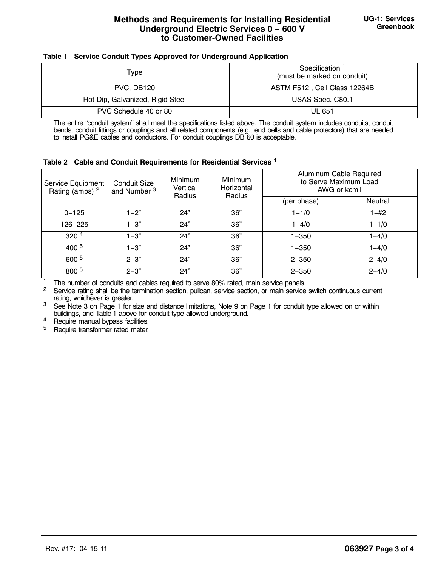## <span id="page-16-0"></span>**Table 1 Service Conduit Types Approved for Underground Application**

| Type                             | Specification <sup>1</sup><br>(must be marked on conduit) |  |  |
|----------------------------------|-----------------------------------------------------------|--|--|
| PVC, DB120                       | ASTM F512, Cell Class 12264B                              |  |  |
| Hot-Dip, Galvanized, Rigid Steel | USAS Spec. C80.1                                          |  |  |
| PVC Schedule 40 or 80            | UL 651                                                    |  |  |

<sup>1</sup> The entire "conduit system" shall meet the specifications listed above. The conduit system includes conduits, conduit bends, conduit fittings or couplings and all related components (e.g., end bells and cable protectors) that are needed to install PG&E cables and conductors. For conduit couplings DB 60 is acceptable.

**Table 2 Cable and Conduit Requirements for Residential Services <sup>1</sup>**

| Service Equipment<br>Rating (amps) <sup>2</sup> | Conduit Size<br>and Number <sup>3</sup> | <b>Minimum</b><br>Vertical<br>Radius | <b>Minimum</b><br>Horizontal<br>Radius | Aluminum Cable Required<br>to Serve Maximum Load<br>AWG or kcmil |           |
|-------------------------------------------------|-----------------------------------------|--------------------------------------|----------------------------------------|------------------------------------------------------------------|-----------|
|                                                 |                                         |                                      |                                        | (per phase)                                                      | Neutral   |
| $0 - 125$                                       | $1 - 2$ "                               | 24"                                  | 36"                                    | $1 - 1/0$                                                        | $1 - #2$  |
| 126-225                                         | $1 - 3"$                                | 24"                                  | 36"                                    | $1 - 4/0$                                                        | $1 - 1/0$ |
| 320 <sup>4</sup>                                | $1 - 3"$                                | 24"                                  | 36"                                    | $1 - 350$                                                        | $1 - 4/0$ |
| $400^{5}$                                       | $1 - 3"$                                | 24"                                  | 36"                                    | $1 - 350$                                                        | $1 - 4/0$ |
| 600 5                                           | $2 - 3"$                                | 24"                                  | 36"                                    | $2 - 350$                                                        | $2 - 4/0$ |
| 800 5                                           | $2 - 3"$                                | 24"                                  | 36"                                    | $2 - 350$                                                        | $2 - 4/0$ |

<sup>1</sup> The number of conduits and cables required to serve 80% rated, main service panels.<br><sup>2</sup> Sensice rating shall be the termination section, pullcan, sensice section, or main sensice

Service rating shall be the termination section, pullcan, service section, or main service switch continuous current rating, whichever is greater.

<sup>3</sup> See Note [3](#page-14-0) on Page [1](#page-14-0) for size and distance limitations, Note [9](#page-14-0) on Page [1](#page-14-0) for conduit type allowed on or within buildings, and Table 1 above for conduit type allowed underground.

 $^{4}$  Require manual bypass facilities.

<sup>5</sup> Require transformer rated meter.